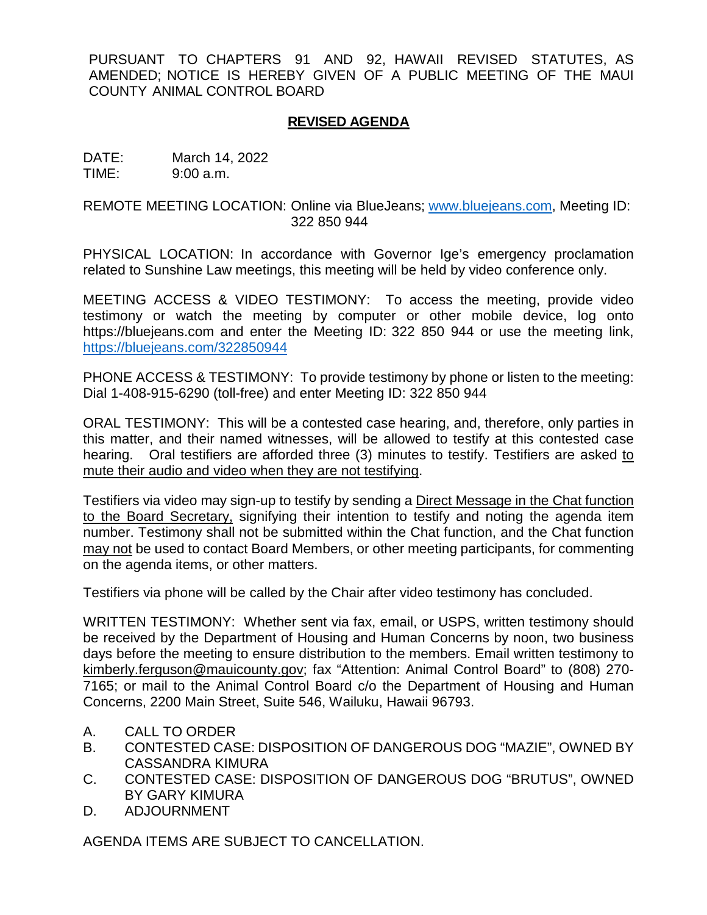PURSUANT TO CHAPTERS 91 AND 92, HAWAII REVISED STATUTES, AS AMENDED; NOTICE IS HEREBY GIVEN OF A PUBLIC MEETING OF THE MAUI COUNTY ANIMAL CONTROL BOARD

## **REVISED AGENDA**

DATE: March 14, 2022 TIME: 9:00 a.m.

REMOTE MEETING LOCATION: Online via BlueJeans; [www.bluejeans.com,](http://www.bluejeans.com/) Meeting ID: 322 850 944

PHYSICAL LOCATION: In accordance with Governor Ige's emergency proclamation related to Sunshine Law meetings, this meeting will be held by video conference only.

MEETING ACCESS & VIDEO TESTIMONY: To access the meeting, provide video testimony or watch the meeting by computer or other mobile device, log onto https://bluejeans.com and enter the Meeting ID: 322 850 944 or use the meeting link, [https://bluejeans.com/3](https://bluejeans.com/719203246)22850944

PHONE ACCESS & TESTIMONY: To provide testimony by phone or listen to the meeting: Dial 1-408-915-6290 (toll-free) and enter Meeting ID: 322 850 944

ORAL TESTIMONY: This will be a contested case hearing, and, therefore, only parties in this matter, and their named witnesses, will be allowed to testify at this contested case hearing. Oral testifiers are afforded three (3) minutes to testify. Testifiers are asked to mute their audio and video when they are not testifying.

Testifiers via video may sign-up to testify by sending a Direct Message in the Chat function to the Board Secretary, signifying their intention to testify and noting the agenda item number. Testimony shall not be submitted within the Chat function, and the Chat function may not be used to contact Board Members, or other meeting participants, for commenting on the agenda items, or other matters.

Testifiers via phone will be called by the Chair after video testimony has concluded.

WRITTEN TESTIMONY: Whether sent via fax, email, or USPS, written testimony should be received by the Department of Housing and Human Concerns by noon, two business days before the meeting to ensure distribution to the members. Email written testimony to kimberly.ferguson@mauicounty.gov; fax "Attention: Animal Control Board" to (808) 270- 7165; or mail to the Animal Control Board c/o the Department of Housing and Human Concerns, 2200 Main Street, Suite 546, Wailuku, Hawaii 96793.

- A. CALL TO ORDER
- B. CONTESTED CASE: DISPOSITION OF DANGEROUS DOG "MAZIE", OWNED BY CASSANDRA KIMURA
- C. CONTESTED CASE: DISPOSITION OF DANGEROUS DOG "BRUTUS", OWNED BY GARY KIMURA
- D. ADJOURNMENT

AGENDA ITEMS ARE SUBJECT TO CANCELLATION.